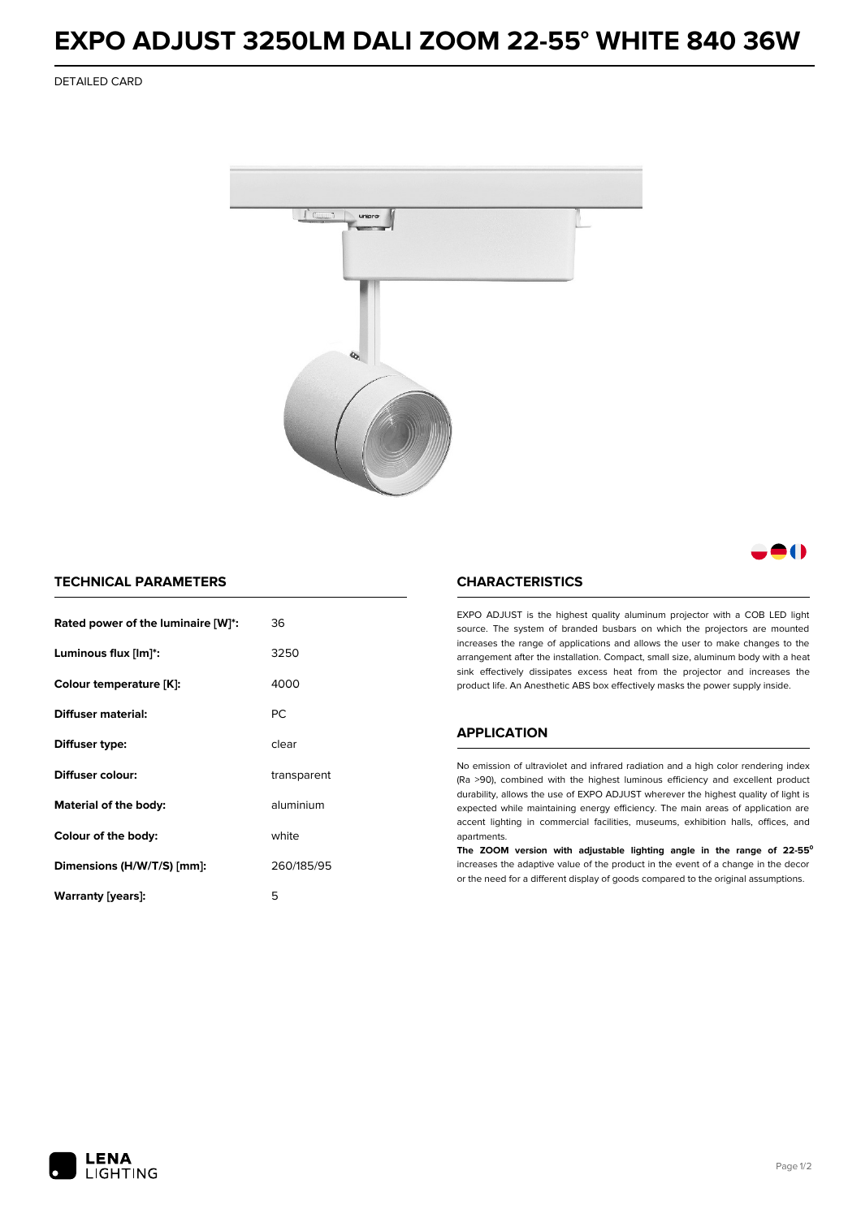## **EXPO ADJUST 3250LM DALI ZOOM 22-55° WHITE 840 36W**

DETAILED CARD



- 1

## **TECHNICAL PARAMETERS**

| Rated power of the luminaire [W]*: | 36          |  |
|------------------------------------|-------------|--|
| Luminous flux [lm]*:               | 3250        |  |
| Colour temperature [K]:            | 4000        |  |
| Diffuser material:                 | PC.         |  |
| Diffuser type:                     | clear       |  |
| Diffuser colour:                   | transparent |  |
| aluminium<br>Material of the body: |             |  |
| Colour of the body:                | white       |  |
| Dimensions (H/W/T/S) [mm]:         | 260/185/95  |  |
| Warranty (years):                  | 5           |  |

#### **CHARACTERISTICS**

EXPO ADJUST is the highest quality aluminum projector with a COB LED light source. The system of branded busbars on which the projectors are mounted increases the range of applications and allows the user to make changes to the arrangement after the installation. Compact, small size, aluminum body with a heat sink effectively dissipates excess heat from the projector and increases the product life. An Anesthetic ABS box effectively masks the power supply inside.

#### **APPLICATION**

No emission of ultraviolet and infrared radiation and a high color rendering index (Ra >90), combined with the highest luminous efficiency and excellent product durability, allows the use of EXPO ADJUST wherever the highest quality of light is expected while maintaining energy efficiency. The main areas of application are accent lighting in commercial facilities, museums, exhibition halls, offices, and apartments.

**The ZOOM version with adjustable lighting angle in the range of 22-55⁰** increases the adaptive value of the product in the event of a change in the decor or the need for a different display of goods compared to the original assumptions.